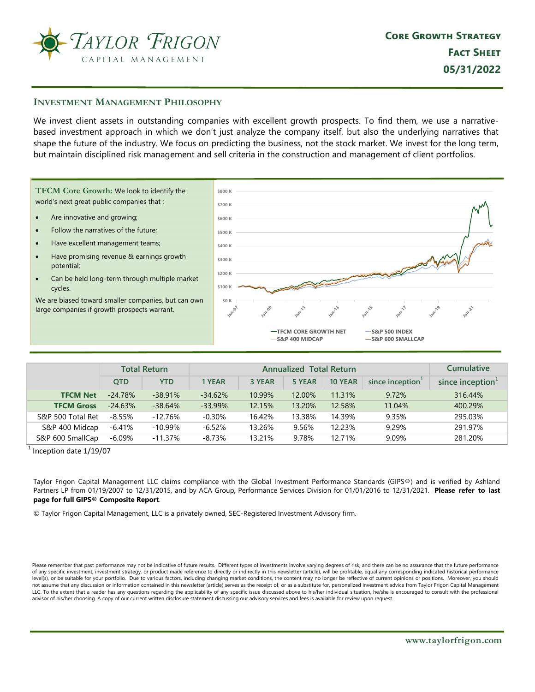

## **INVESTMENT MANAGEMENT PHILOSOPHY**

We invest client assets in outstanding companies with excellent growth prospects. To find them, we use a narrativebased investment approach in which we don't just analyze the company itself, but also the underlying narratives that shape the future of the industry. We focus on predicting the business, not the stock market. We invest for the long term, but maintain disciplined risk management and sell criteria in the construction and management of client portfolios.

TFCM Core Growth: We look to identify the world's next great public companies that :

- Are innovative and growing;  $\bullet$
- Follow the narratives of the future;
- Have excellent management teams;
- Have promising revenue & earnings growth potential;
- Can be held long-term through multiple market cycles.

We are biased toward smaller companies, but can own large companies if growth prospects warrant.



|                   |            | <b>Total Return</b> |           | <b>Cumulative</b> |        |                |                              |                     |
|-------------------|------------|---------------------|-----------|-------------------|--------|----------------|------------------------------|---------------------|
|                   | <b>OTD</b> | <b>YTD</b>          | 1 YEAR    | 3 YEAR            | 5 YEAR | <b>10 YEAR</b> | since inception <sup>1</sup> | since inception $1$ |
| <b>TFCM Net</b>   | $-24.78%$  | $-38.91%$           | $-34.62%$ | 10.99%            | 12.00% | 11.31%         | 9.72%                        | 316.44%             |
| <b>TFCM Gross</b> | $-24.63%$  | $-38.64%$           | $-33.99%$ | 12.15%            | 13.20% | 12.58%         | 11.04%                       | 400.29%             |
| S&P 500 Total Ret | $-8.55\%$  | $-12.76%$           | $-0.30\%$ | 16.42%            | 13.38% | 14.39%         | 9.35%                        | 295.03%             |
| S&P 400 Midcap    | $-6.41%$   | $-10.99\%$          | $-6.52%$  | 13.26%            | 9.56%  | 12.23%         | 9.29%                        | 291.97%             |
| S&P 600 SmallCap  | $-6.09\%$  | $-11.37\%$          | $-8.73%$  | 13.21%            | 9.78%  | 12.71%         | 9.09%                        | 281.20%             |

 $1$  Inception date  $1/19/07$ 

Taylor Frigon Capital Management LLC claims compliance with the Global Investment Performance Standards (GIPS®) and is verified by Ashland Partners LP from 01/19/2007 to 12/31/2015, and by ACA Group, Performance Services Division for 01/01/2016 to 12/31/2021. Please refer to last page for full GIPS® Composite Report.

C Taylor Frigon Capital Management, LLC is a privately owned, SEC-Registered Investment Advisory firm.

Please remember that past performance may not be indicative of future results. Different types of investments involve varying degrees of risk, and there can be no assurance that the future performance of any specific investment, investment strategy, or product made reference to directly or indirectly in this newsletter (article), will be profitable, equal any corresponding indicated historical performance level(s), or be suitable for your portfolio. Due to various factors, including changing market conditions, the content may no longer be reflective of current opinions or positions. Moreover, you should not assume that any discussion or information contained in this newsletter (article) serves as the receipt of, or as a substitute for, personalized investment advice from Taylor Frigon Capital Management LLC. To the extent that a reader has any questions regarding the applicability of any specific issue discussed above to his/her individual situation, he/she is encouraged to consult with the professional advisor of his/her choosing. A copy of our current written disclosure statement discussing our advisory services and fees is available for review upon request.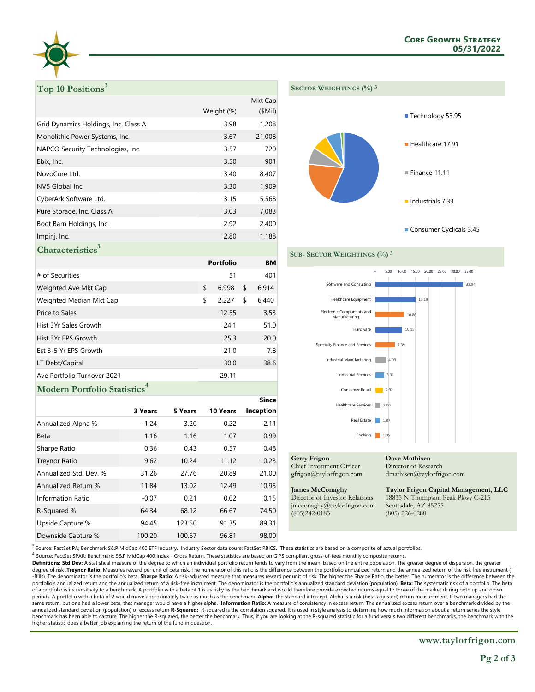

# Top 10 Positions<sup>3</sup>

|                                      |            | Mkt Cap |
|--------------------------------------|------------|---------|
|                                      | Weight (%) | (SMil)  |
| Grid Dynamics Holdings, Inc. Class A | 3.98       | 1,208   |
| Monolithic Power Systems, Inc.       | 3.67       | 21,008  |
| NAPCO Security Technologies, Inc.    | 3.57       | 720     |
| Ebix, Inc.                           | 3.50       | 901     |
| NovoCure Ltd.                        | 3.40       | 8,407   |
| NV5 Global Inc                       | 3.30       | 1,909   |
| CyberArk Software Ltd.               | 3.15       | 5,568   |
| Pure Storage, Inc. Class A           | 3.03       | 7,083   |
| Boot Barn Holdings, Inc.             | 2.92       | 2,400   |
| Impinj, Inc.                         | 2.80       | 1,188   |
|                                      |            |         |



**Characteristics**<sup>3</sup>

|                             | <b>Portfolio</b> | <b>BM</b> |       |
|-----------------------------|------------------|-----------|-------|
| # of Securities             | 51               |           | 401   |
| Weighted Ave Mkt Cap        | \$<br>6,998      | \$        | 6,914 |
| Weighted Median Mkt Cap     | \$<br>2,227      | \$        | 6,440 |
| Price to Sales              | 12.55            |           | 3.53  |
| Hist 3Yr Sales Growth       | 24.1             |           | 51.0  |
| Hist 3Yr EPS Growth         | 25.3             |           | 20.0  |
| Est 3-5 Yr EPS Growth       | 21.0             |           | 7.8   |
| LT Debt/Capital             | 30.0             |           | 38.6  |
| Ave Portfolio Turnover 2021 | 29.11            |           |       |
|                             |                  |           |       |

## **Modern Portfolio Statistics**

|                        |         |         |          | since     |
|------------------------|---------|---------|----------|-----------|
|                        | 3 Years | 5 Years | 10 Years | Inception |
| Annualized Alpha %     | $-1.24$ | 3.20    | 0.22     | 2.11      |
| Beta                   | 1.16    | 1.16    | 1.07     | 0.99      |
| Sharpe Ratio           | 0.36    | 0.43    | 0.57     | 0.48      |
| <b>Treynor Ratio</b>   | 9.62    | 10.24   | 11.12    | 10.23     |
| Annualized Std. Dev. % | 31.26   | 27.76   | 20.89    | 21.00     |
| Annualized Return %    | 11.84   | 13.02   | 12.49    | 10.95     |
| Information Ratio      | $-0.07$ | 0.21    | 0.02     | 0.15      |
| R-Squared %            | 64.34   | 68.12   | 66.67    | 74.50     |
| Upside Capture %       | 94.45   | 123.50  | 91.35    | 89.31     |
| Downside Capture %     | 100.20  | 100.67  | 96.81    | 98.00     |



**Gerry Frigon** Chief Investment Officer

gfrigon@taylorfrigon.com

SUB- SECTOR WEIGHTINGS (%) 3

#### **James McConaghy**

Director of Investor Relations jmcconaghy@taylorfrigon.com  $(805)242 - 0183$ 

Director of Research dmathisen@taylorfrigon.com

Taylor Frigon Capital Management, LLC 18835 N Thompson Peak Pkwy C-215 Scottsdale, AZ 85255  $(805)$  226-0280

 $^3$  Source: FactSet PA; Benchmark S&P MidCap 400 ETF Industry. Industry Sector data soure: FactSet RBICS. These statistics are based on a composite of actual portfolios.

<sup>4</sup> Source: FactSet SPAR; Benchmark: S&P MidCap 400 Index - Gross Return. These statistics are based on GIPS compliant gross-of-fees monthly composite returns.

Definitions: Std Dev: A statistical measure of the degree to which an individual portfolio return tends to vary from the mean, based on the entire population. The greater degree of dispersion, the greater degree of risk. Treynor Ratio: Measures reward per unit of beta risk. The numerator of this ratio is the difference between the portfolio annualized return and the annualized return of the risk free instrument (T -Bills). The denominator is the portfolio's beta. Sharpe Ratio: A risk-adjusted measure that measures reward per unit of risk. The higher the Sharpe Ratio, the better. The numerator is the difference between the portfolio's annualized return and the annualized return of a risk-free instrument. The denominator is the portfolio's annualized standard deviation (population). Beta: The systematic risk of a portfolio. The beta of a portfolio is its sensitivity to a benchmark. A portfolio with a beta of 1 is as risky as the benchmark and would therefore provide expected returns equal to those of the market during both up and down periods. A portfolio with a beta of 2 would move approximately twice as much as the benchmark. Alpha: The standard intercept. Alpha is a risk (beta-adjusted) return measurement. If two managers had the same return, but one had a lower beta, that manager would have a higher alpha. Information Ratio: A measure of consistency in excess return. The annualized excess return over a benchmark divided by the annualized standard deviation (population) of excess return R-Squared: R-squared is the correlation squared. It is used in style analysis to determine how much information about a return series the style benchmark has been able to capture. The higher the R-squared, the better the benchmark. Thus, if you are looking at the R-squared statistic for a fund versus two different benchmarks, the benchmark with the higher statistic does a better job explaining the return of the fund in question.